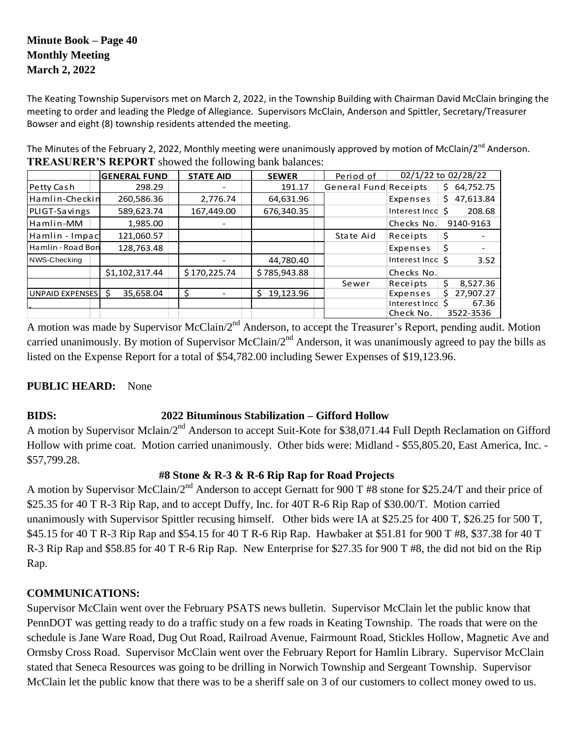## **Minute Book – Page 40 Monthly Meeting March 2, 2022**

The Keating Township Supervisors met on March 2, 2022, in the Township Building with Chairman David McClain bringing the meeting to order and leading the Pledge of Allegiance. Supervisors McClain, Anderson and Spittler, Secretary/Treasurer Bowser and eight (8) township residents attended the meeting.

The Minutes of the February 2, 2022, Monthly meeting were unanimously approved by motion of McClain/2<sup>nd</sup> Anderson. **TREASURER'S REPORT** showed the following bank balances:

|                   | <b>GENERAL FUND</b> | <b>STATE AID</b> | <b>SEWER</b>    | Period of             | 02/1/22 to 02/28/22 |                 |
|-------------------|---------------------|------------------|-----------------|-----------------------|---------------------|-----------------|
| Petty Cash        | 298.29              |                  | 191.17          | General Fund Receipts |                     | 64,752.75<br>S. |
| Hamlin-Checkin    | 260,586.36          | 2,776.74         | 64,631.96       |                       | Expenses            | 47,613.84<br>S  |
| PLIGT-Savings     | 589,623.74          | 167,449.00       | 676,340.35      |                       | Interest Inco       | 208.68          |
| Hamlin-MM         | 1,985.00            |                  |                 |                       | Checks No.          | 9140-9163       |
| Hamlin - Impact   | 121,060.57          |                  |                 | State Aid             | Receipts            | \$              |
| Hamlin - Road Bon | 128,763.48          |                  |                 |                       | Expenses            | \$              |
| NWS-Checking      |                     |                  | 44,780.40       |                       | Interest Inco \$    | 3.52            |
|                   | \$1,102,317.44      | \$170,225.74     | \$785,943.88    |                       | Checks No.          |                 |
|                   |                     |                  |                 | Sewer                 | Receipts            | 8,527.36        |
| UNPAID EXPENSES S | 35,658.04           | S                | 19,123.96<br>Ŝ. |                       | Expenses            | 27,907.27       |
|                   |                     |                  |                 |                       | Interest Inco       | 67.36           |
|                   |                     |                  |                 |                       | Check No.           | 3522-3536       |

A motion was made by Supervisor McClain/2<sup>nd</sup> Anderson, to accept the Treasurer's Report, pending audit. Motion carried unanimously. By motion of Supervisor McClain/ $2^{nd}$  Anderson, it was unanimously agreed to pay the bills as listed on the Expense Report for a total of \$54,782.00 including Sewer Expenses of \$19,123.96.

# **PUBLIC HEARD:** None

### **BIDS: 2022 Bituminous Stabilization – Gifford Hollow**

A motion by Supervisor Mclain/2nd Anderson to accept Suit-Kote for \$38,071.44 Full Depth Reclamation on Gifford Hollow with prime coat. Motion carried unanimously. Other bids were: Midland - \$55,805.20, East America, Inc. - \$57,799.28.

# **#8 Stone & R-3 & R-6 Rip Rap for Road Projects**

A motion by Supervisor McClain/2<sup>nd</sup> Anderson to accept Gernatt for 900 T #8 stone for \$25.24/T and their price of \$25.35 for 40 T R-3 Rip Rap, and to accept Duffy, Inc. for 40T R-6 Rip Rap of \$30.00/T. Motion carried unanimously with Supervisor Spittler recusing himself. Other bids were IA at \$25.25 for 400 T, \$26.25 for 500 T, \$45.15 for 40 T R-3 Rip Rap and \$54.15 for 40 T R-6 Rip Rap. Hawbaker at \$51.81 for 900 T #8, \$37.38 for 40 T R-3 Rip Rap and \$58.85 for 40 T R-6 Rip Rap. New Enterprise for \$27.35 for 900 T #8, the did not bid on the Rip Rap.

# **COMMUNICATIONS:**

Supervisor McClain went over the February PSATS news bulletin. Supervisor McClain let the public know that PennDOT was getting ready to do a traffic study on a few roads in Keating Township. The roads that were on the schedule is Jane Ware Road, Dug Out Road, Railroad Avenue, Fairmount Road, Stickles Hollow, Magnetic Ave and Ormsby Cross Road. Supervisor McClain went over the February Report for Hamlin Library. Supervisor McClain stated that Seneca Resources was going to be drilling in Norwich Township and Sergeant Township. Supervisor McClain let the public know that there was to be a sheriff sale on 3 of our customers to collect money owed to us.